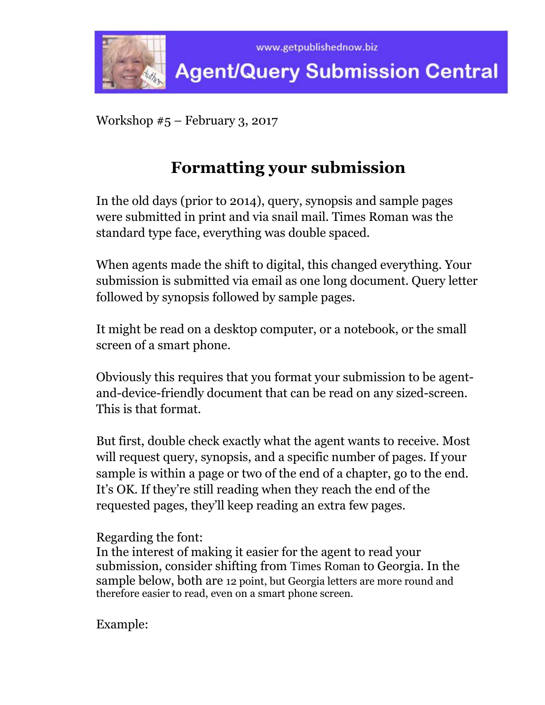

Workshop #5 – February 3, 2017

# **Formatting your submission**

In the old days (prior to 2014), query, synopsis and sample pages were submitted in print and via snail mail. Times Roman was the standard type face, everything was double spaced.

When agents made the shift to digital, this changed everything. Your submission is submitted via email as one long document. Query letter followed by synopsis followed by sample pages.

It might be read on a desktop computer, or a notebook, or the small screen of a smart phone.

Obviously this requires that you format your submission to be agentand-device-friendly document that can be read on any sized-screen. This is that format.

But first, double check exactly what the agent wants to receive. Most will request query, synopsis, and a specific number of pages. If your sample is within a page or two of the end of a chapter, go to the end. It's OK. If they're still reading when they reach the end of the requested pages, they'll keep reading an extra few pages.

## Regarding the font:

In the interest of making it easier for the agent to read your submission, consider shifting from Times Roman to Georgia. In the sample below, both are 12 point, but Georgia letters are more round and therefore easier to read, even on a smart phone screen.

Example: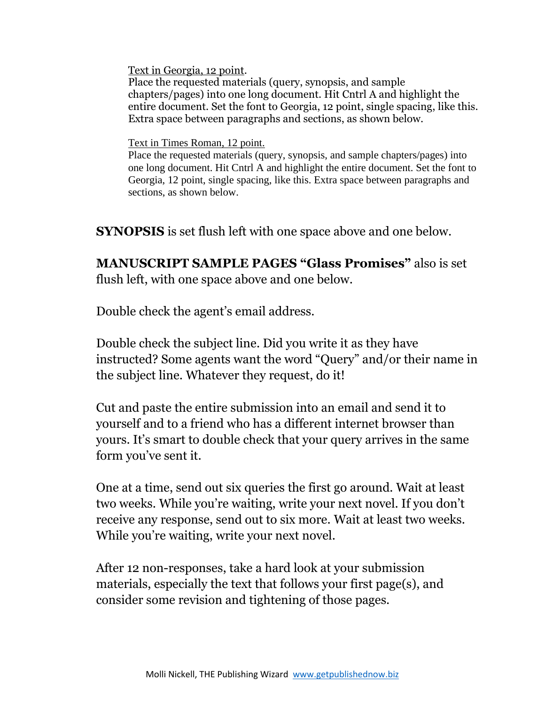Text in Georgia, 12 point.

Place the requested materials (query, synopsis, and sample chapters/pages) into one long document. Hit Cntrl A and highlight the entire document. Set the font to Georgia, 12 point, single spacing, like this. Extra space between paragraphs and sections, as shown below.

Text in Times Roman, 12 point.

Place the requested materials (query, synopsis, and sample chapters/pages) into one long document. Hit Cntrl A and highlight the entire document. Set the font to Georgia, 12 point, single spacing, like this. Extra space between paragraphs and sections, as shown below.

**SYNOPSIS** is set flush left with one space above and one below.

**MANUSCRIPT SAMPLE PAGES "Glass Promises"** also is set flush left, with one space above and one below.

Double check the agent's email address.

Double check the subject line. Did you write it as they have instructed? Some agents want the word "Query" and/or their name in the subject line. Whatever they request, do it!

Cut and paste the entire submission into an email and send it to yourself and to a friend who has a different internet browser than yours. It's smart to double check that your query arrives in the same form you've sent it.

One at a time, send out six queries the first go around. Wait at least two weeks. While you're waiting, write your next novel. If you don't receive any response, send out to six more. Wait at least two weeks. While you're waiting, write your next novel.

After 12 non-responses, take a hard look at your submission materials, especially the text that follows your first page(s), and consider some revision and tightening of those pages.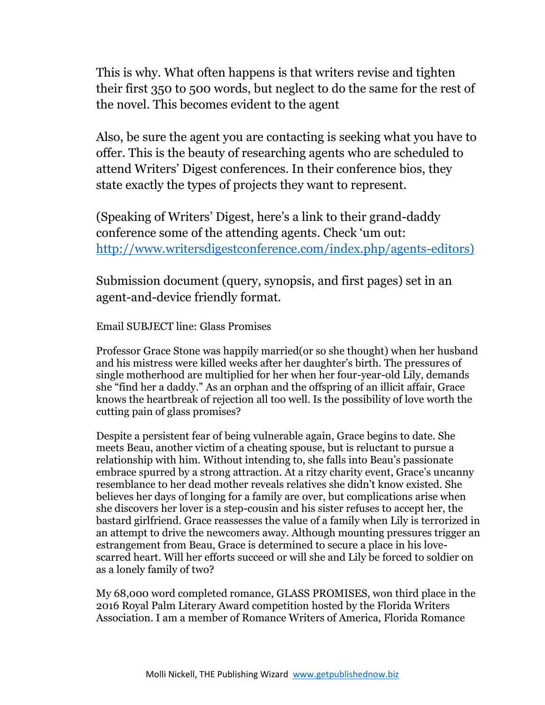This is why. What often happens is that writers revise and tighten their first 350 to 500 words, but neglect to do the same for the rest of the novel. This becomes evident to the agent

Also, be sure the agent you are contacting is seeking what you have to offer. This is the beauty of researching agents who are scheduled to attend Writers' Digest conferences. In their conference bios, they state exactly the types of projects they want to represent.

(Speaking of Writers' Digest, here's a link to their grand-daddy conference some of the attending agents. Check 'um out: [http://www.writersdigestconference.com/index.php/agents-editors\)](http://www.writersdigestconference.com/index.php/agents-editors)

Submission document (query, synopsis, and first pages) set in an agent-and-device friendly format.

Email SUBJECT line: Glass Promises

Professor Grace Stone was happily married(or so she thought) when her husband and his mistress were killed weeks after her daughter's birth. The pressures of single motherhood are multiplied for her when her four-year-old Lily, demands she "find her a daddy." As an orphan and the offspring of an illicit affair, Grace knows the heartbreak of rejection all too well. Is the possibility of love worth the cutting pain of glass promises?

Despite a persistent fear of being vulnerable again, Grace begins to date. She meets Beau, another victim of a cheating spouse, but is reluctant to pursue a relationship with him. Without intending to, she falls into Beau's passionate embrace spurred by a strong attraction. At a ritzy charity event, Grace's uncanny resemblance to her dead mother reveals relatives she didn't know existed. She believes her days of longing for a family are over, but complications arise when she discovers her lover is a step-cousin and his sister refuses to accept her, the bastard girlfriend. Grace reassesses the value of a family when Lily is terrorized in an attempt to drive the newcomers away. Although mounting pressures trigger an estrangement from Beau, Grace is determined to secure a place in his lovescarred heart. Will her efforts succeed or will she and Lily be forced to soldier on as a lonely family of two?

My 68,000 word completed romance, GLASS PROMISES, won third place in the 2016 Royal Palm Literary Award competition hosted by the Florida Writers Association. I am a member of Romance Writers of America, Florida Romance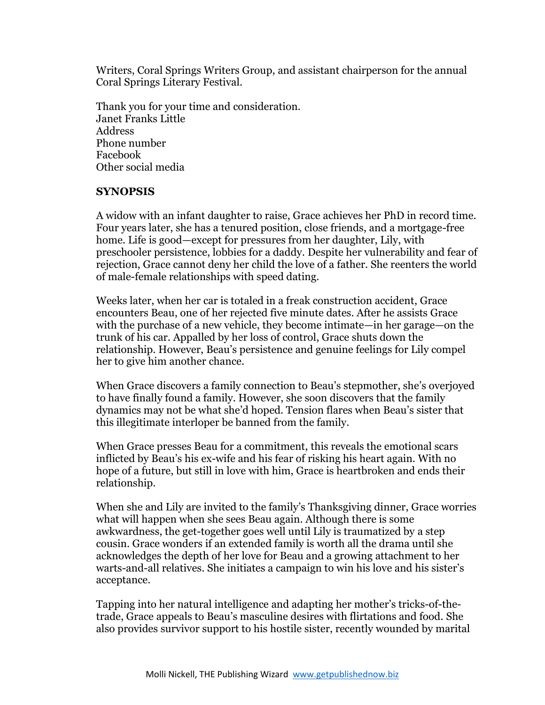Writers, Coral Springs Writers Group, and assistant chairperson for the annual Coral Springs Literary Festival.

Thank you for your time and consideration. Janet Franks Little **Address** Phone number Facebook Other social media

#### **SYNOPSIS**

A widow with an infant daughter to raise, Grace achieves her PhD in record time. Four years later, she has a tenured position, close friends, and a mortgage-free home. Life is good—except for pressures from her daughter, Lily, with preschooler persistence, lobbies for a daddy. Despite her vulnerability and fear of rejection, Grace cannot deny her child the love of a father. She reenters the world of male-female relationships with speed dating.

Weeks later, when her car is totaled in a freak construction accident, Grace encounters Beau, one of her rejected five minute dates. After he assists Grace with the purchase of a new vehicle, they become intimate—in her garage—on the trunk of his car. Appalled by her loss of control, Grace shuts down the relationship. However, Beau's persistence and genuine feelings for Lily compel her to give him another chance.

When Grace discovers a family connection to Beau's stepmother, she's overjoyed to have finally found a family. However, she soon discovers that the family dynamics may not be what she'd hoped. Tension flares when Beau's sister that this illegitimate interloper be banned from the family.

When Grace presses Beau for a commitment, this reveals the emotional scars inflicted by Beau's his ex-wife and his fear of risking his heart again. With no hope of a future, but still in love with him, Grace is heartbroken and ends their relationship.

When she and Lily are invited to the family's Thanksgiving dinner, Grace worries what will happen when she sees Beau again. Although there is some awkwardness, the get-together goes well until Lily is traumatized by a step cousin. Grace wonders if an extended family is worth all the drama until she acknowledges the depth of her love for Beau and a growing attachment to her warts-and-all relatives. She initiates a campaign to win his love and his sister's acceptance.

Tapping into her natural intelligence and adapting her mother's tricks-of-thetrade, Grace appeals to Beau's masculine desires with flirtations and food. She also provides survivor support to his hostile sister, recently wounded by marital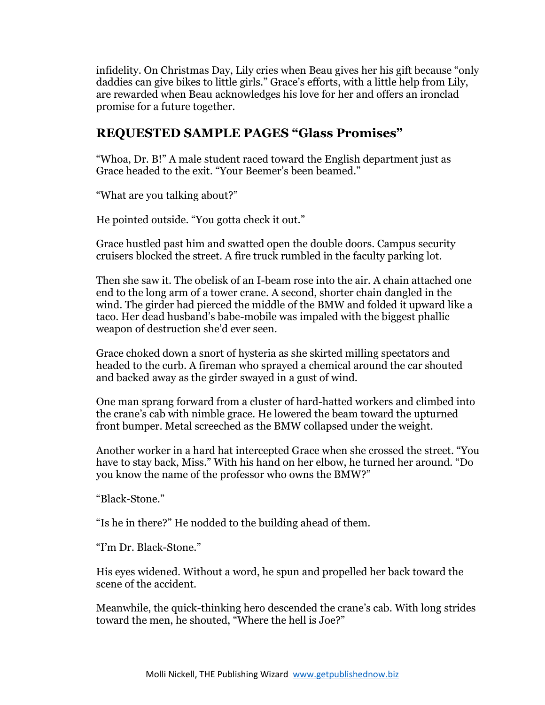infidelity. On Christmas Day, Lily cries when Beau gives her his gift because "only daddies can give bikes to little girls." Grace's efforts, with a little help from Lily, are rewarded when Beau acknowledges his love for her and offers an ironclad promise for a future together.

#### **REQUESTED SAMPLE PAGES "Glass Promises"**

"Whoa, Dr. B!" A male student raced toward the English department just as Grace headed to the exit. "Your Beemer's been beamed."

"What are you talking about?"

He pointed outside. "You gotta check it out."

Grace hustled past him and swatted open the double doors. Campus security cruisers blocked the street. A fire truck rumbled in the faculty parking lot.

Then she saw it. The obelisk of an I-beam rose into the air. A chain attached one end to the long arm of a tower crane. A second, shorter chain dangled in the wind. The girder had pierced the middle of the BMW and folded it upward like a taco. Her dead husband's babe-mobile was impaled with the biggest phallic weapon of destruction she'd ever seen.

Grace choked down a snort of hysteria as she skirted milling spectators and headed to the curb. A fireman who sprayed a chemical around the car shouted and backed away as the girder swayed in a gust of wind.

One man sprang forward from a cluster of hard-hatted workers and climbed into the crane's cab with nimble grace. He lowered the beam toward the upturned front bumper. Metal screeched as the BMW collapsed under the weight.

Another worker in a hard hat intercepted Grace when she crossed the street. "You have to stay back, Miss." With his hand on her elbow, he turned her around. "Do you know the name of the professor who owns the BMW?"

"Black-Stone."

"Is he in there?" He nodded to the building ahead of them.

"I'm Dr. Black-Stone."

His eyes widened. Without a word, he spun and propelled her back toward the scene of the accident.

Meanwhile, the quick-thinking hero descended the crane's cab. With long strides toward the men, he shouted, "Where the hell is Joe?"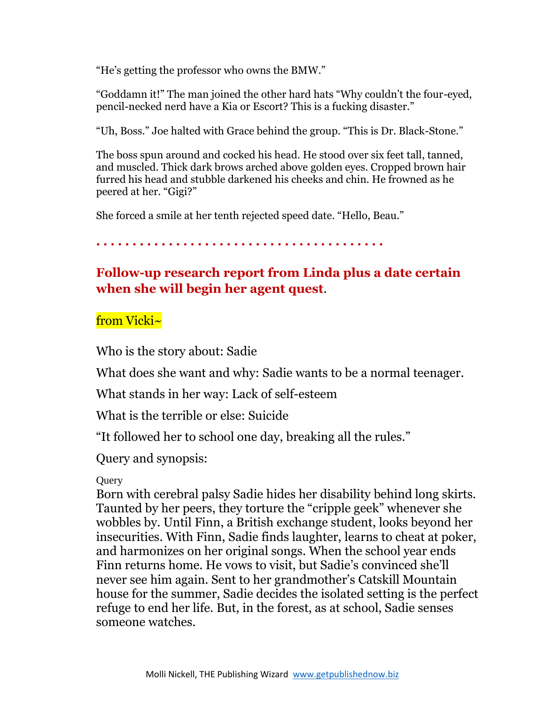"He's getting the professor who owns the BMW."

"Goddamn it!" The man joined the other hard hats "Why couldn't the four-eyed, pencil-necked nerd have a Kia or Escort? This is a fucking disaster."

"Uh, Boss." Joe halted with Grace behind the group. "This is Dr. Black-Stone."

The boss spun around and cocked his head. He stood over six feet tall, tanned, and muscled. Thick dark brows arched above golden eyes. Cropped brown hair furred his head and stubble darkened his cheeks and chin. He frowned as he peered at her. "Gigi?"

She forced a smile at her tenth rejected speed date. "Hello, Beau."

**. . . . . . . . . . . . . . . . . . . . . . . . . . . . . . . . . . . . . . . .** 

## **Follow-up research report from Linda plus a date certain when she will begin her agent quest**.

from Vicki~

Who is the story about: Sadie

What does she want and why: Sadie wants to be a normal teenager.

What stands in her way: Lack of self-esteem

What is the terrible or else: Suicide

"It followed her to school one day, breaking all the rules."

Query and synopsis:

#### **Query**

Born with cerebral palsy Sadie hides her disability behind long skirts. Taunted by her peers, they torture the "cripple geek" whenever she wobbles by. Until Finn, a British exchange student, looks beyond her insecurities. With Finn, Sadie finds laughter, learns to cheat at poker, and harmonizes on her original songs. When the school year ends Finn returns home. He vows to visit, but Sadie's convinced she'll never see him again. Sent to her grandmother's Catskill Mountain house for the summer, Sadie decides the isolated setting is the perfect refuge to end her life. But, in the forest, as at school, Sadie senses someone watches.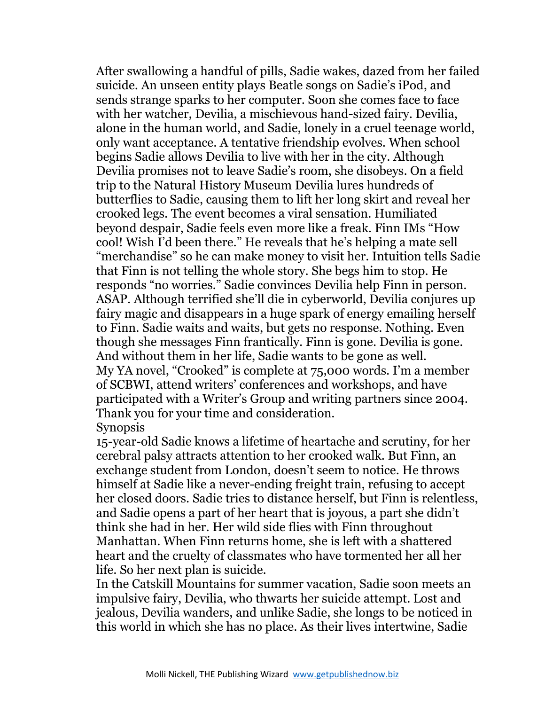After swallowing a handful of pills, Sadie wakes, dazed from her failed suicide. An unseen entity plays Beatle songs on Sadie's iPod, and sends strange sparks to her computer. Soon she comes face to face with her watcher, Devilia, a mischievous hand-sized fairy. Devilia, alone in the human world, and Sadie, lonely in a cruel teenage world, only want acceptance. A tentative friendship evolves. When school begins Sadie allows Devilia to live with her in the city. Although Devilia promises not to leave Sadie's room, she disobeys. On a field trip to the Natural History Museum Devilia lures hundreds of butterflies to Sadie, causing them to lift her long skirt and reveal her crooked legs. The event becomes a viral sensation. Humiliated beyond despair, Sadie feels even more like a freak. Finn IMs "How cool! Wish I'd been there." He reveals that he's helping a mate sell "merchandise" so he can make money to visit her. Intuition tells Sadie that Finn is not telling the whole story. She begs him to stop. He responds "no worries." Sadie convinces Devilia help Finn in person. ASAP. Although terrified she'll die in cyberworld, Devilia conjures up fairy magic and disappears in a huge spark of energy emailing herself to Finn. Sadie waits and waits, but gets no response. Nothing. Even though she messages Finn frantically. Finn is gone. Devilia is gone. And without them in her life, Sadie wants to be gone as well. My YA novel, "Crooked" is complete at 75,000 words. I'm a member of SCBWI, attend writers' conferences and workshops, and have participated with a Writer's Group and writing partners since 2004. Thank you for your time and consideration. Synopsis

15-year-old Sadie knows a lifetime of heartache and scrutiny, for her cerebral palsy attracts attention to her crooked walk. But Finn, an exchange student from London, doesn't seem to notice. He throws himself at Sadie like a never-ending freight train, refusing to accept her closed doors. Sadie tries to distance herself, but Finn is relentless, and Sadie opens a part of her heart that is joyous, a part she didn't think she had in her. Her wild side flies with Finn throughout Manhattan. When Finn returns home, she is left with a shattered heart and the cruelty of classmates who have tormented her all her life. So her next plan is suicide.

In the Catskill Mountains for summer vacation, Sadie soon meets an impulsive fairy, Devilia, who thwarts her suicide attempt. Lost and jealous, Devilia wanders, and unlike Sadie, she longs to be noticed in this world in which she has no place. As their lives intertwine, Sadie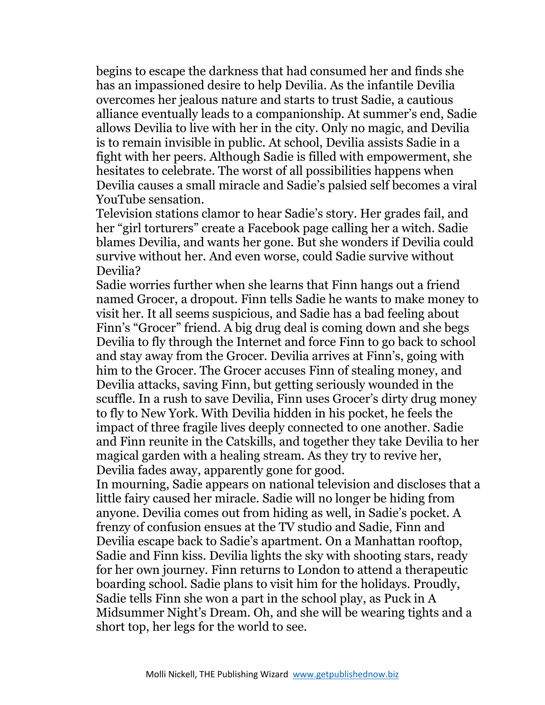begins to escape the darkness that had consumed her and finds she has an impassioned desire to help Devilia. As the infantile Devilia overcomes her jealous nature and starts to trust Sadie, a cautious alliance eventually leads to a companionship. At summer's end, Sadie allows Devilia to live with her in the city. Only no magic, and Devilia is to remain invisible in public. At school, Devilia assists Sadie in a fight with her peers. Although Sadie is filled with empowerment, she hesitates to celebrate. The worst of all possibilities happens when Devilia causes a small miracle and Sadie's palsied self becomes a viral YouTube sensation.

Television stations clamor to hear Sadie's story. Her grades fail, and her "girl torturers" create a Facebook page calling her a witch. Sadie blames Devilia, and wants her gone. But she wonders if Devilia could survive without her. And even worse, could Sadie survive without Devilia?

Sadie worries further when she learns that Finn hangs out a friend named Grocer, a dropout. Finn tells Sadie he wants to make money to visit her. It all seems suspicious, and Sadie has a bad feeling about Finn's "Grocer" friend. A big drug deal is coming down and she begs Devilia to fly through the Internet and force Finn to go back to school and stay away from the Grocer. Devilia arrives at Finn's, going with him to the Grocer. The Grocer accuses Finn of stealing money, and Devilia attacks, saving Finn, but getting seriously wounded in the scuffle. In a rush to save Devilia, Finn uses Grocer's dirty drug money to fly to New York. With Devilia hidden in his pocket, he feels the impact of three fragile lives deeply connected to one another. Sadie and Finn reunite in the Catskills, and together they take Devilia to her magical garden with a healing stream. As they try to revive her, Devilia fades away, apparently gone for good.

In mourning, Sadie appears on national television and discloses that a little fairy caused her miracle. Sadie will no longer be hiding from anyone. Devilia comes out from hiding as well, in Sadie's pocket. A frenzy of confusion ensues at the TV studio and Sadie, Finn and Devilia escape back to Sadie's apartment. On a Manhattan rooftop, Sadie and Finn kiss. Devilia lights the sky with shooting stars, ready for her own journey. Finn returns to London to attend a therapeutic boarding school. Sadie plans to visit him for the holidays. Proudly, Sadie tells Finn she won a part in the school play, as Puck in A Midsummer Night's Dream. Oh, and she will be wearing tights and a short top, her legs for the world to see.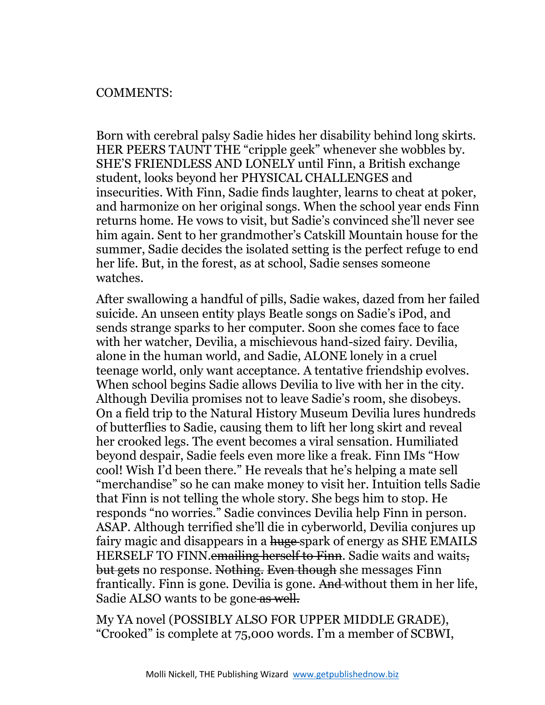Born with cerebral palsy Sadie hides her disability behind long skirts. HER PEERS TAUNT THE "cripple geek" whenever she wobbles by. SHE'S FRIENDLESS AND LONELY until Finn, a British exchange student, looks beyond her PHYSICAL CHALLENGES and insecurities. With Finn, Sadie finds laughter, learns to cheat at poker, and harmonize on her original songs. When the school year ends Finn returns home. He vows to visit, but Sadie's convinced she'll never see him again. Sent to her grandmother's Catskill Mountain house for the summer, Sadie decides the isolated setting is the perfect refuge to end her life. But, in the forest, as at school, Sadie senses someone watches.

After swallowing a handful of pills, Sadie wakes, dazed from her failed suicide. An unseen entity plays Beatle songs on Sadie's iPod, and sends strange sparks to her computer. Soon she comes face to face with her watcher, Devilia, a mischievous hand-sized fairy. Devilia, alone in the human world, and Sadie, ALONE lonely in a cruel teenage world, only want acceptance. A tentative friendship evolves. When school begins Sadie allows Devilia to live with her in the city. Although Devilia promises not to leave Sadie's room, she disobeys. On a field trip to the Natural History Museum Devilia lures hundreds of butterflies to Sadie, causing them to lift her long skirt and reveal her crooked legs. The event becomes a viral sensation. Humiliated beyond despair, Sadie feels even more like a freak. Finn IMs "How cool! Wish I'd been there." He reveals that he's helping a mate sell "merchandise" so he can make money to visit her. Intuition tells Sadie that Finn is not telling the whole story. She begs him to stop. He responds "no worries." Sadie convinces Devilia help Finn in person. ASAP. Although terrified she'll die in cyberworld, Devilia conjures up fairy magic and disappears in a huge-spark of energy as SHE EMAILS HERSELF TO FINN.emailing herself to Finn. Sadie waits and waits, but gets no response. Nothing. Even though she messages Finn frantically. Finn is gone. Devilia is gone. And without them in her life, Sadie ALSO wants to be gone as well.

My YA novel (POSSIBLY ALSO FOR UPPER MIDDLE GRADE), "Crooked" is complete at 75,000 words. I'm a member of SCBWI,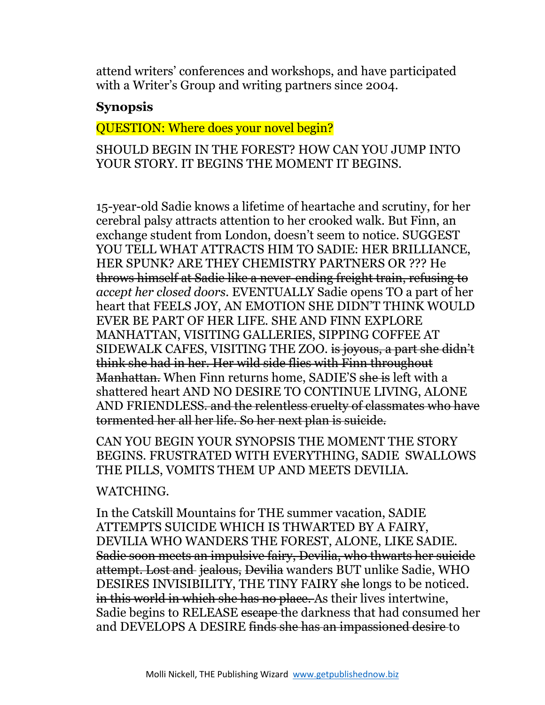attend writers' conferences and workshops, and have participated with a Writer's Group and writing partners since 2004.

### **Synopsis**

#### QUESTION: Where does your novel begin?

SHOULD BEGIN IN THE FOREST? HOW CAN YOU JUMP INTO YOUR STORY. IT BEGINS THE MOMENT IT BEGINS.

15-year-old Sadie knows a lifetime of heartache and scrutiny, for her cerebral palsy attracts attention to her crooked walk. But Finn, an exchange student from London, doesn't seem to notice. SUGGEST YOU TELL WHAT ATTRACTS HIM TO SADIE: HER BRILLIANCE, HER SPUNK? ARE THEY CHEMISTRY PARTNERS OR ??? He throws himself at Sadie like a never-ending freight train, refusing to *accept her closed doors.* EVENTUALLY Sadie opens TO a part of her heart that FEELS JOY, AN EMOTION SHE DIDN'T THINK WOULD EVER BE PART OF HER LIFE. SHE AND FINN EXPLORE MANHATTAN, VISITING GALLERIES, SIPPING COFFEE AT SIDEWALK CAFES, VISITING THE ZOO. is joyous, a part she didn't think she had in her. Her wild side flies with Finn throughout Manhattan. When Finn returns home, SADIE'S she is left with a shattered heart AND NO DESIRE TO CONTINUE LIVING, ALONE AND FRIENDLESS. and the relentless cruelty of classmates who have tormented her all her life. So her next plan is suicide.

CAN YOU BEGIN YOUR SYNOPSIS THE MOMENT THE STORY BEGINS. FRUSTRATED WITH EVERYTHING, SADIE SWALLOWS THE PILLS, VOMITS THEM UP AND MEETS DEVILIA.

#### WATCHING.

In the Catskill Mountains for THE summer vacation, SADIE ATTEMPTS SUICIDE WHICH IS THWARTED BY A FAIRY, DEVILIA WHO WANDERS THE FOREST, ALONE, LIKE SADIE. Sadie soon meets an impulsive fairy, Devilia, who thwarts her suicide attempt. Lost and jealous, Devilia wanders BUT unlike Sadie, WHO DESIRES INVISIBILITY, THE TINY FAIRY she longs to be noticed. in this world in which she has no place. As their lives intertwine, Sadie begins to RELEASE escape the darkness that had consumed her and DEVELOPS A DESIRE finds she has an impassioned desire to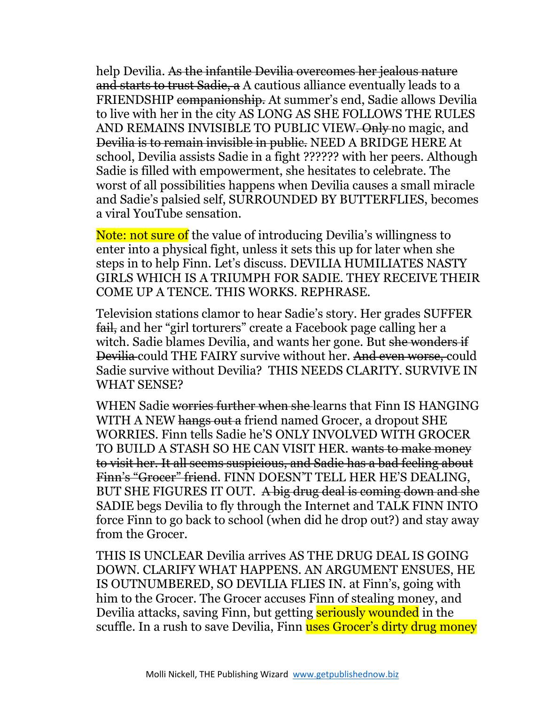help Devilia. As the infantile Devilia overcomes her jealous nature and starts to trust Sadie, a A cautious alliance eventually leads to a FRIENDSHIP companionship. At summer's end, Sadie allows Devilia to live with her in the city AS LONG AS SHE FOLLOWS THE RULES AND REMAINS INVISIBLE TO PUBLIC VIEW. Only no magic, and Devilia is to remain invisible in public. NEED A BRIDGE HERE At school, Devilia assists Sadie in a fight ?????? with her peers. Although Sadie is filled with empowerment, she hesitates to celebrate. The worst of all possibilities happens when Devilia causes a small miracle and Sadie's palsied self, SURROUNDED BY BUTTERFLIES, becomes a viral YouTube sensation.

Note: not sure of the value of introducing Devilia's willingness to enter into a physical fight, unless it sets this up for later when she steps in to help Finn. Let's discuss. DEVILIA HUMILIATES NASTY GIRLS WHICH IS A TRIUMPH FOR SADIE. THEY RECEIVE THEIR COME UP A TENCE. THIS WORKS. REPHRASE.

Television stations clamor to hear Sadie's story. Her grades SUFFER fail, and her "girl torturers" create a Facebook page calling her a witch. Sadie blames Devilia, and wants her gone. But she wonders if Devilia could THE FAIRY survive without her. And even worse, could Sadie survive without Devilia? THIS NEEDS CLARITY. SURVIVE IN WHAT SENSE?

WHEN Sadie <del>worries further when she </del>learns that Finn IS HANGING WITH A NEW hangs out a friend named Grocer, a dropout SHE WORRIES. Finn tells Sadie he'S ONLY INVOLVED WITH GROCER TO BUILD A STASH SO HE CAN VISIT HER. wants to make money to visit her. It all seems suspicious, and Sadie has a bad feeling about Finn's "Grocer" friend. FINN DOESN'T TELL HER HE'S DEALING, BUT SHE FIGURES IT OUT. A big drug deal is coming down and she SADIE begs Devilia to fly through the Internet and TALK FINN INTO force Finn to go back to school (when did he drop out?) and stay away from the Grocer.

THIS IS UNCLEAR Devilia arrives AS THE DRUG DEAL IS GOING DOWN. CLARIFY WHAT HAPPENS. AN ARGUMENT ENSUES, HE IS OUTNUMBERED, SO DEVILIA FLIES IN. at Finn's, going with him to the Grocer. The Grocer accuses Finn of stealing money, and Devilia attacks, saving Finn, but getting **seriously wounded** in the scuffle. In a rush to save Devilia, Finn uses Grocer's dirty drug money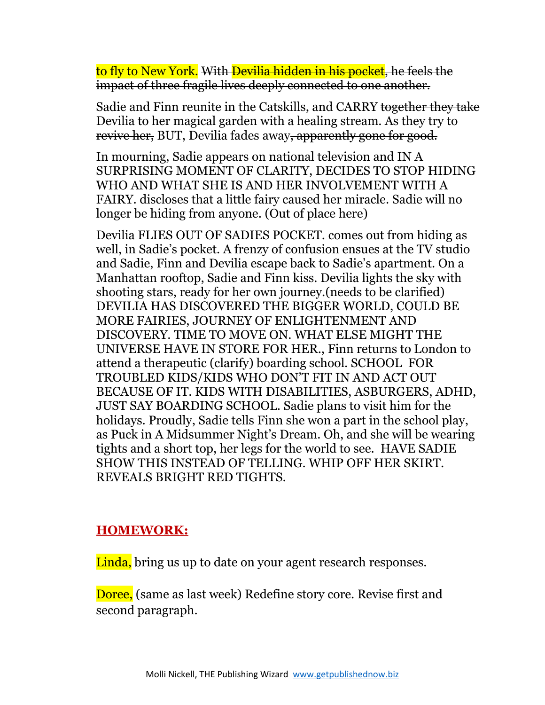to fly to New York. With Devilia hidden in his pocket, he feels the impact of three fragile lives deeply connected to one another.

Sadie and Finn reunite in the Catskills, and CARRY together they take Devilia to her magical garden with a healing stream. As they try to revive her, BUT, Devilia fades away, apparently gone for good.

In mourning, Sadie appears on national television and IN A SURPRISING MOMENT OF CLARITY, DECIDES TO STOP HIDING WHO AND WHAT SHE IS AND HER INVOLVEMENT WITH A FAIRY. discloses that a little fairy caused her miracle. Sadie will no longer be hiding from anyone. (Out of place here)

Devilia FLIES OUT OF SADIES POCKET. comes out from hiding as well, in Sadie's pocket. A frenzy of confusion ensues at the TV studio and Sadie, Finn and Devilia escape back to Sadie's apartment. On a Manhattan rooftop, Sadie and Finn kiss. Devilia lights the sky with shooting stars, ready for her own journey.(needs to be clarified) DEVILIA HAS DISCOVERED THE BIGGER WORLD, COULD BE MORE FAIRIES, JOURNEY OF ENLIGHTENMENT AND DISCOVERY. TIME TO MOVE ON. WHAT ELSE MIGHT THE UNIVERSE HAVE IN STORE FOR HER., Finn returns to London to attend a therapeutic (clarify) boarding school. SCHOOL FOR TROUBLED KIDS/KIDS WHO DON'T FIT IN AND ACT OUT BECAUSE OF IT. KIDS WITH DISABILITIES, ASBURGERS, ADHD, JUST SAY BOARDING SCHOOL. Sadie plans to visit him for the holidays. Proudly, Sadie tells Finn she won a part in the school play, as Puck in A Midsummer Night's Dream. Oh, and she will be wearing tights and a short top, her legs for the world to see. HAVE SADIE SHOW THIS INSTEAD OF TELLING. WHIP OFF HER SKIRT. REVEALS BRIGHT RED TIGHTS.

#### **HOMEWORK:**

Linda, bring us up to date on your agent research responses.

Doree, (same as last week) Redefine story core. Revise first and second paragraph.